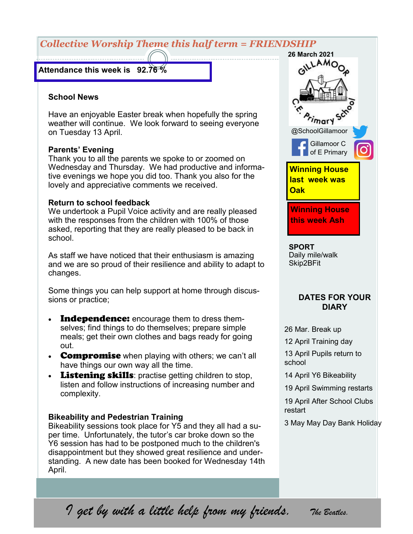# *Collective Worship Theme this half term = FRIENDSHIP*

#### **Attendance this week is 92.76 %**

#### **School News**

Have an enjoyable Easter break when hopefully the spring weather will continue. We look forward to seeing everyone on Tuesday 13 April.

#### **Parents' Evening**

Thank you to all the parents we spoke to or zoomed on Wednesday and Thursday. We had productive and informative evenings we hope you did too. Thank you also for the lovely and appreciative comments we received.

## **Return to school feedback**

We undertook a Pupil Voice activity and are really pleased with the responses from the children with 100% of those asked, reporting that they are really pleased to be back in school.

As staff we have noticed that their enthusiasm is amazing and we are so proud of their resilience and ability to adapt to changes.

Some things you can help support at home through discussions or practice;

- **Independence:** encourage them to dress themselves; find things to do themselves; prepare simple meals; get their own clothes and bags ready for going out.
- Compromise when playing with others; we can't all have things our own way all the time.
- **Listening skills:** practise getting children to stop, listen and follow instructions of increasing number and complexity.

### **Bikeability and Pedestrian Training**

Bikeability sessions took place for Y5 and they all had a super time. Unfortunately, the tutor's car broke down so the Y6 session has had to be postponed much to the children's disappointment but they showed great resilience and understanding. A new date has been booked for Wednesday 14th April.



Daily mile/walk Skip2BFit

## **DATES FOR YOUR DIARY**

26 Mar. Break up

12 April Training day

13 April Pupils return to school

- 14 April Y6 Bikeability
- 19 April Swimming restarts

19 April After School Clubs restart

3 May May Day Bank Holiday

*I get by with a little help from my friends. The Beatles.*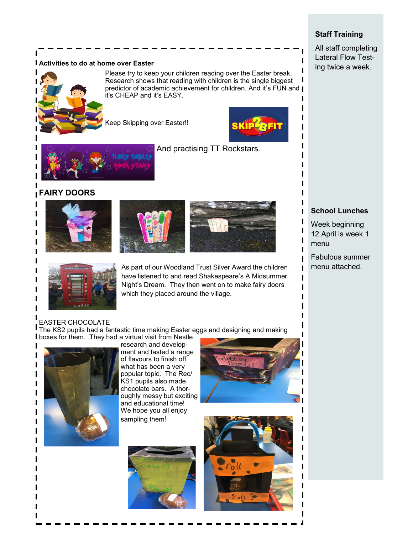#### **Activities to do at home over Easter**



Please try to keep your children reading over the Easter break. Research shows that reading with children is the single biggest predictor of academic achievement for children. And it's FUN and | it's CHEAP and it's EASY.

Geep Skipping over Easter!!



п

Ī I



And practising TT Rockstars.

## **FAIRY DOORS**









As part of our Woodland Trust Silver Award the children **Fig. 1** menu attached. have listened to and read Shakespeare's A Midsummer Night's Dream. They then went on to make fairy doors which they placed around the village.

## **School Lunches**

Week beginning 12 April is week 1 menu

Fabulous summer

EASTER CHOCOLATE The KS2 pupils had a fantastic time making Easter eggs and designing and making **I** boxes for them. They had a virtual visit from Nestle



ı ı ı ı ı ı ı I

research and development and tasted a range of flavours to finish off what has been a very popular topic. The Rec/ KS1 pupils also made chocolate bars. A thoroughly messy but exciting and educational time! We hope you all enjoy sampling them!







## **Staff Training**

All staff completing Lateral Flow Testing twice a week.